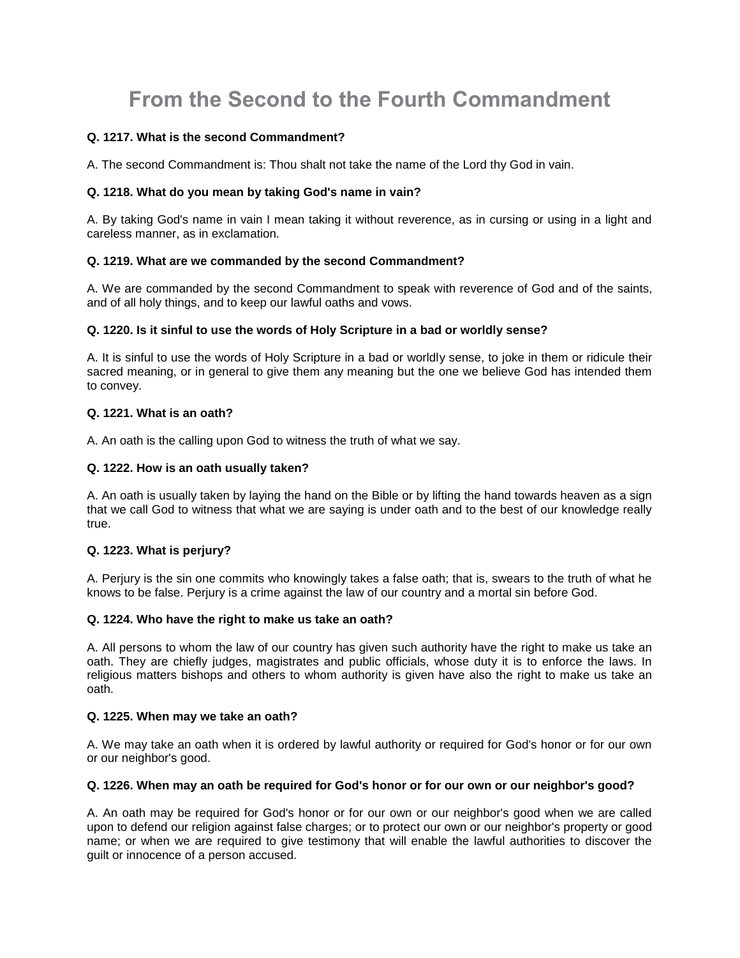# **From the Second to the Fourth Commandment**

# **Q. 1217. What is the second Commandment?**

A. The second Commandment is: Thou shalt not take the name of the Lord thy God in vain.

## **Q. 1218. What do you mean by taking God's name in vain?**

A. By taking God's name in vain I mean taking it without reverence, as in cursing or using in a light and careless manner, as in exclamation.

## **Q. 1219. What are we commanded by the second Commandment?**

A. We are commanded by the second Commandment to speak with reverence of God and of the saints, and of all holy things, and to keep our lawful oaths and vows.

## **Q. 1220. Is it sinful to use the words of Holy Scripture in a bad or worldly sense?**

A. It is sinful to use the words of Holy Scripture in a bad or worldly sense, to joke in them or ridicule their sacred meaning, or in general to give them any meaning but the one we believe God has intended them to convey.

# **Q. 1221. What is an oath?**

A. An oath is the calling upon God to witness the truth of what we say.

## **Q. 1222. How is an oath usually taken?**

A. An oath is usually taken by laying the hand on the Bible or by lifting the hand towards heaven as a sign that we call God to witness that what we are saying is under oath and to the best of our knowledge really true.

# **Q. 1223. What is perjury?**

A. Perjury is the sin one commits who knowingly takes a false oath; that is, swears to the truth of what he knows to be false. Perjury is a crime against the law of our country and a mortal sin before God.

## **Q. 1224. Who have the right to make us take an oath?**

A. All persons to whom the law of our country has given such authority have the right to make us take an oath. They are chiefly judges, magistrates and public officials, whose duty it is to enforce the laws. In religious matters bishops and others to whom authority is given have also the right to make us take an oath.

## **Q. 1225. When may we take an oath?**

A. We may take an oath when it is ordered by lawful authority or required for God's honor or for our own or our neighbor's good.

## **Q. 1226. When may an oath be required for God's honor or for our own or our neighbor's good?**

A. An oath may be required for God's honor or for our own or our neighbor's good when we are called upon to defend our religion against false charges; or to protect our own or our neighbor's property or good name; or when we are required to give testimony that will enable the lawful authorities to discover the guilt or innocence of a person accused.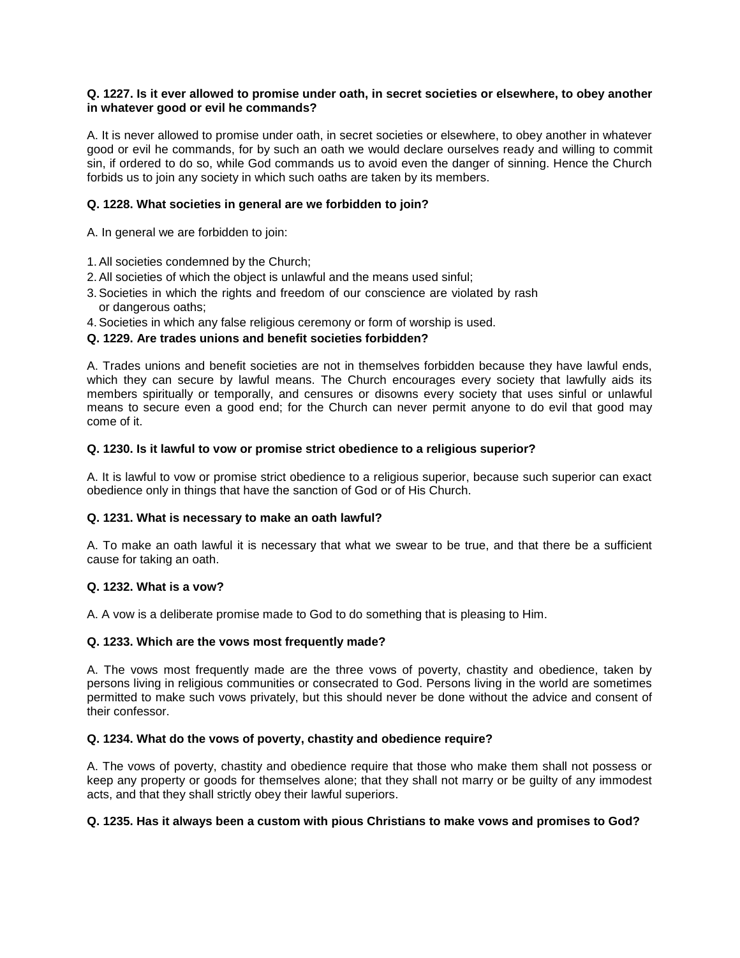## **Q. 1227. Is it ever allowed to promise under oath, in secret societies or elsewhere, to obey another in whatever good or evil he commands?**

A. It is never allowed to promise under oath, in secret societies or elsewhere, to obey another in whatever good or evil he commands, for by such an oath we would declare ourselves ready and willing to commit sin, if ordered to do so, while God commands us to avoid even the danger of sinning. Hence the Church forbids us to join any society in which such oaths are taken by its members.

## **Q. 1228. What societies in general are we forbidden to join?**

A. In general we are forbidden to join:

- 1.All societies condemned by the Church;
- 2.All societies of which the object is unlawful and the means used sinful;
- 3.Societies in which the rights and freedom of our conscience are violated by rash or dangerous oaths;
- 4.Societies in which any false religious ceremony or form of worship is used.

## **Q. 1229. Are trades unions and benefit societies forbidden?**

A. Trades unions and benefit societies are not in themselves forbidden because they have lawful ends, which they can secure by lawful means. The Church encourages every society that lawfully aids its members spiritually or temporally, and censures or disowns every society that uses sinful or unlawful means to secure even a good end; for the Church can never permit anyone to do evil that good may come of it.

## **Q. 1230. Is it lawful to vow or promise strict obedience to a religious superior?**

A. It is lawful to vow or promise strict obedience to a religious superior, because such superior can exact obedience only in things that have the sanction of God or of His Church.

## **Q. 1231. What is necessary to make an oath lawful?**

A. To make an oath lawful it is necessary that what we swear to be true, and that there be a sufficient cause for taking an oath.

## **Q. 1232. What is a vow?**

A. A vow is a deliberate promise made to God to do something that is pleasing to Him.

## **Q. 1233. Which are the vows most frequently made?**

A. The vows most frequently made are the three vows of poverty, chastity and obedience, taken by persons living in religious communities or consecrated to God. Persons living in the world are sometimes permitted to make such vows privately, but this should never be done without the advice and consent of their confessor.

## **Q. 1234. What do the vows of poverty, chastity and obedience require?**

A. The vows of poverty, chastity and obedience require that those who make them shall not possess or keep any property or goods for themselves alone; that they shall not marry or be guilty of any immodest acts, and that they shall strictly obey their lawful superiors.

## **Q. 1235. Has it always been a custom with pious Christians to make vows and promises to God?**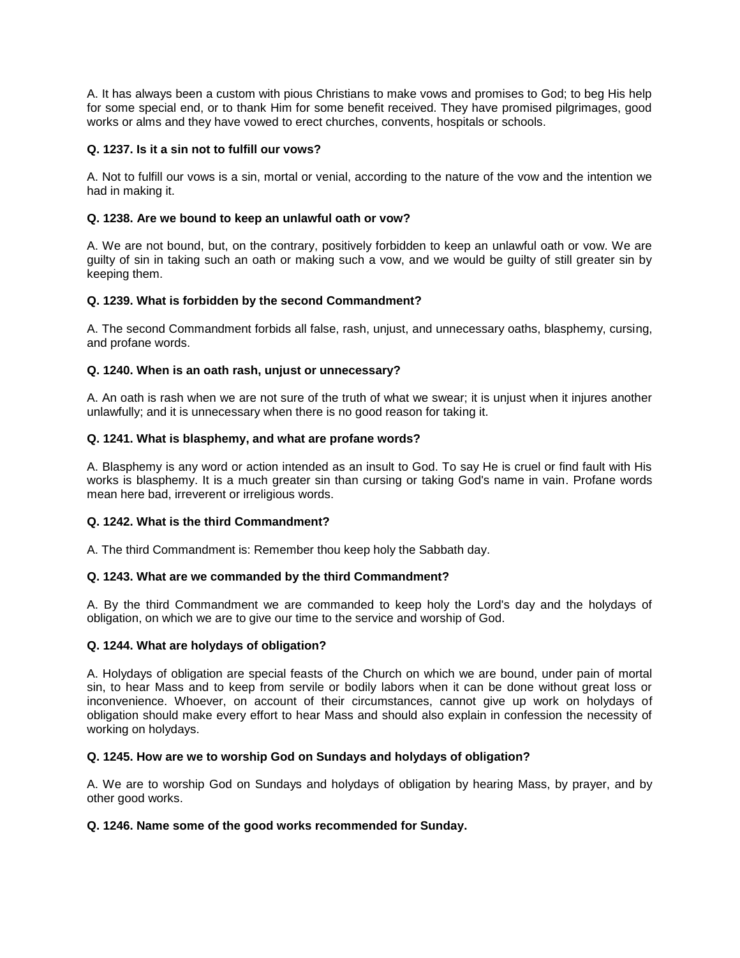A. It has always been a custom with pious Christians to make vows and promises to God; to beg His help for some special end, or to thank Him for some benefit received. They have promised pilgrimages, good works or alms and they have vowed to erect churches, convents, hospitals or schools.

## **Q. 1237. Is it a sin not to fulfill our vows?**

A. Not to fulfill our vows is a sin, mortal or venial, according to the nature of the vow and the intention we had in making it.

## **Q. 1238. Are we bound to keep an unlawful oath or vow?**

A. We are not bound, but, on the contrary, positively forbidden to keep an unlawful oath or vow. We are guilty of sin in taking such an oath or making such a vow, and we would be guilty of still greater sin by keeping them.

## **Q. 1239. What is forbidden by the second Commandment?**

A. The second Commandment forbids all false, rash, unjust, and unnecessary oaths, blasphemy, cursing, and profane words.

## **Q. 1240. When is an oath rash, unjust or unnecessary?**

A. An oath is rash when we are not sure of the truth of what we swear; it is unjust when it injures another unlawfully; and it is unnecessary when there is no good reason for taking it.

## **Q. 1241. What is blasphemy, and what are profane words?**

A. Blasphemy is any word or action intended as an insult to God. To say He is cruel or find fault with His works is blasphemy. It is a much greater sin than cursing or taking God's name in vain. Profane words mean here bad, irreverent or irreligious words.

## **Q. 1242. What is the third Commandment?**

A. The third Commandment is: Remember thou keep holy the Sabbath day.

## **Q. 1243. What are we commanded by the third Commandment?**

A. By the third Commandment we are commanded to keep holy the Lord's day and the holydays of obligation, on which we are to give our time to the service and worship of God.

## **Q. 1244. What are holydays of obligation?**

A. Holydays of obligation are special feasts of the Church on which we are bound, under pain of mortal sin, to hear Mass and to keep from servile or bodily labors when it can be done without great loss or inconvenience. Whoever, on account of their circumstances, cannot give up work on holydays of obligation should make every effort to hear Mass and should also explain in confession the necessity of working on holydays.

## **Q. 1245. How are we to worship God on Sundays and holydays of obligation?**

A. We are to worship God on Sundays and holydays of obligation by hearing Mass, by prayer, and by other good works.

## **Q. 1246. Name some of the good works recommended for Sunday.**